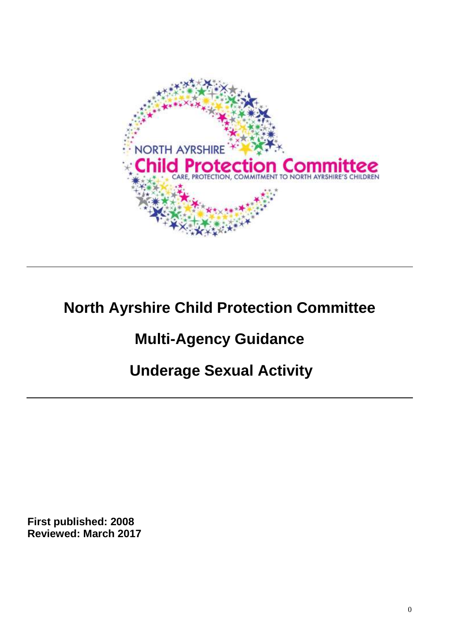

# **North Ayrshire Child Protection Committee**

# **Multi-Agency Guidance**

# **Underage Sexual Activity**

**First published: 2008 Reviewed: March 2017**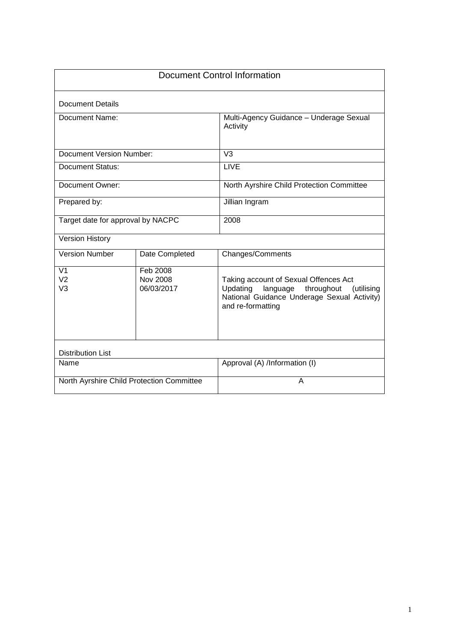| <b>Document Control Information</b>                          |                                           |                                                                                                                                                               |  |
|--------------------------------------------------------------|-------------------------------------------|---------------------------------------------------------------------------------------------------------------------------------------------------------------|--|
| <b>Document Details</b>                                      |                                           |                                                                                                                                                               |  |
| Document Name:                                               |                                           | Multi-Agency Guidance - Underage Sexual<br>Activity                                                                                                           |  |
| <b>Document Version Number:</b>                              |                                           | V <sub>3</sub>                                                                                                                                                |  |
| <b>Document Status:</b>                                      |                                           | <b>LIVE</b>                                                                                                                                                   |  |
| Document Owner:                                              |                                           | North Ayrshire Child Protection Committee                                                                                                                     |  |
| Prepared by:                                                 |                                           | Jillian Ingram                                                                                                                                                |  |
| Target date for approval by NACPC                            |                                           | 2008                                                                                                                                                          |  |
| <b>Version History</b>                                       |                                           |                                                                                                                                                               |  |
| <b>Version Number</b>                                        | Date Completed                            | <b>Changes/Comments</b>                                                                                                                                       |  |
| $\overline{\mathsf{V1}}$<br>V <sub>2</sub><br>V <sub>3</sub> | Feb 2008<br><b>Nov 2008</b><br>06/03/2017 | Taking account of Sexual Offences Act<br>Updating<br>language<br>throughout<br>(utilising<br>National Guidance Underage Sexual Activity)<br>and re-formatting |  |
| <b>Distribution List</b>                                     |                                           |                                                                                                                                                               |  |
| Name                                                         |                                           | Approval (A) /Information (I)                                                                                                                                 |  |
|                                                              | North Ayrshire Child Protection Committee | A                                                                                                                                                             |  |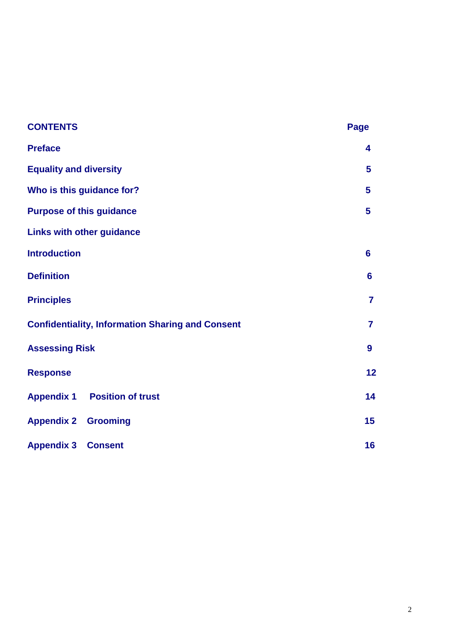| <b>CONTENTS</b>                                         | <b>Page</b> |  |
|---------------------------------------------------------|-------------|--|
| <b>Preface</b>                                          |             |  |
| <b>Equality and diversity</b>                           |             |  |
| Who is this guidance for?                               |             |  |
| <b>Purpose of this guidance</b>                         |             |  |
| <b>Links with other guidance</b>                        |             |  |
| <b>Introduction</b>                                     |             |  |
| <b>Definition</b>                                       |             |  |
| <b>Principles</b>                                       |             |  |
| <b>Confidentiality, Information Sharing and Consent</b> |             |  |
| <b>Assessing Risk</b>                                   |             |  |
| <b>Response</b>                                         | 12          |  |
| <b>Appendix 1 Position of trust</b>                     | 14          |  |
| <b>Appendix 2 Grooming</b>                              | 15          |  |
| <b>Appendix 3 Consent</b>                               | 16          |  |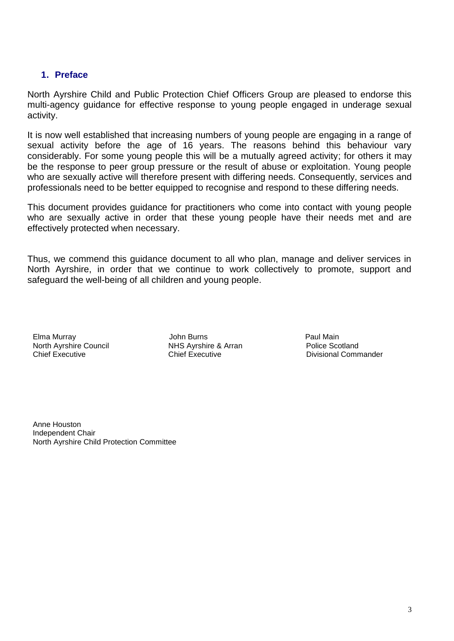#### **1. Preface**

North Ayrshire Child and Public Protection Chief Officers Group are pleased to endorse this multi-agency guidance for effective response to young people engaged in underage sexual activity.

It is now well established that increasing numbers of young people are engaging in a range of sexual activity before the age of 16 years. The reasons behind this behaviour vary considerably. For some young people this will be a mutually agreed activity; for others it may be the response to peer group pressure or the result of abuse or exploitation. Young people who are sexually active will therefore present with differing needs. Consequently, services and professionals need to be better equipped to recognise and respond to these differing needs.

This document provides guidance for practitioners who come into contact with young people who are sexually active in order that these young people have their needs met and are effectively protected when necessary.

Thus, we commend this guidance document to all who plan, manage and deliver services in North Ayrshire, in order that we continue to work collectively to promote, support and safeguard the well-being of all children and young people.

Elma Murray John Burns Paul Main North Ayrshire Council<br>Chief Executive

Chief Executive **Chief Executive** Chief Executive **Chief** Executive **Divisional Commander** 

Anne Houston Independent Chair North Ayrshire Child Protection Committee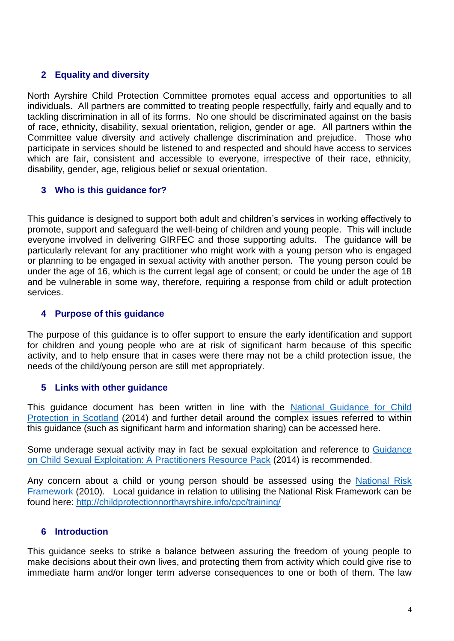#### **2 Equality and diversity**

North Ayrshire Child Protection Committee promotes equal access and opportunities to all individuals. All partners are committed to treating people respectfully, fairly and equally and to tackling discrimination in all of its forms. No one should be discriminated against on the basis of race, ethnicity, disability, sexual orientation, religion, gender or age. All partners within the Committee value diversity and actively challenge discrimination and prejudice. Those who participate in services should be listened to and respected and should have access to services which are fair, consistent and accessible to everyone, irrespective of their race, ethnicity, disability, gender, age, religious belief or sexual orientation.

#### **3 Who is this guidance for?**

This guidance is designed to support both adult and children's services in working effectively to promote, support and safeguard the well-being of children and young people. This will include everyone involved in delivering GIRFEC and those supporting adults. The guidance will be particularly relevant for any practitioner who might work with a young person who is engaged or planning to be engaged in sexual activity with another person. The young person could be under the age of 16, which is the current legal age of consent; or could be under the age of 18 and be vulnerable in some way, therefore, requiring a response from child or adult protection services.

#### **4 Purpose of this guidance**

The purpose of this guidance is to offer support to ensure the early identification and support for children and young people who are at risk of significant harm because of this specific activity, and to help ensure that in cases were there may not be a child protection issue, the needs of the child/young person are still met appropriately.

#### **5 Links with other guidance**

This guidance document has been written in line with the [National Guidance for Child](http://www.gov.scot/Resource/0045/00450733.pdf)  [Protection in Scotland](http://www.gov.scot/Resource/0045/00450733.pdf) (2014) and further detail around the complex issues referred to within this guidance (such as significant harm and information sharing) can be accessed here.

Some underage sexual activity may in fact be sexual exploitation and reference to [Guidance](http://childprotectionnorthayrshire.info/cpc/download?file=777)  [on Child Sexual Exploitation: A Practitioners Resource Pack](http://childprotectionnorthayrshire.info/cpc/download?file=777) (2014) is recommended.

Any concern about a child or young person should be assessed using the [National Risk](http://www.gov.scot/resource/0040/00408604.pdf)  [Framework](http://www.gov.scot/resource/0040/00408604.pdf) (2010). Local guidance in relation to utilising the National Risk Framework can be found here:<http://childprotectionnorthayrshire.info/cpc/training/>

#### **6 Introduction**

This guidance seeks to strike a balance between assuring the freedom of young people to make decisions about their own lives, and protecting them from activity which could give rise to immediate harm and/or longer term adverse consequences to one or both of them. The law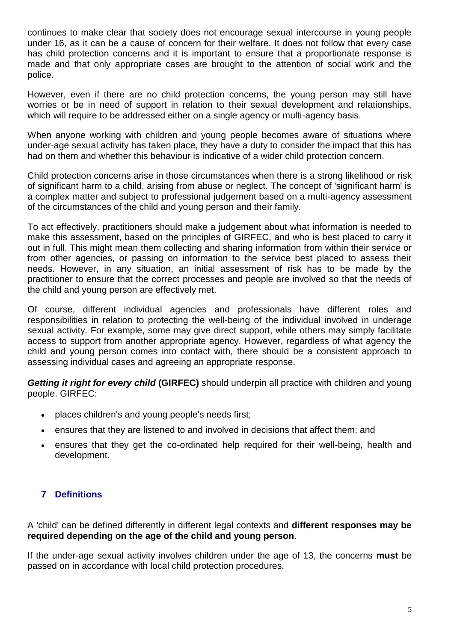continues to make clear that society does not encourage sexual intercourse in young people under 16, as it can be a cause of concern for their welfare. It does not follow that every case has child protection concerns and it is important to ensure that a proportionate response is made and that only appropriate cases are brought to the attention of social work and the police.

However, even if there are no child protection concerns, the young person may still have worries or be in need of support in relation to their sexual development and relationships, which will require to be addressed either on a single agency or multi-agency basis.

When anyone working with children and young people becomes aware of situations where under-age sexual activity has taken place, they have a duty to consider the impact that this has had on them and whether this behaviour is indicative of a wider child protection concern.

Child protection concerns arise in those circumstances when there is a strong likelihood or risk of significant harm to a child, arising from abuse or neglect. The concept of 'significant harm' is a complex matter and subject to professional judgement based on a multi-agency assessment of the circumstances of the child and young person and their family.

To act effectively, practitioners should make a judgement about what information is needed to make this assessment, based on the principles of GIRFEC, and who is best placed to carry it out in full. This might mean them collecting and sharing information from within their service or from other agencies, or passing on information to the service best placed to assess their needs. However, in any situation, an initial assessment of risk has to be made by the practitioner to ensure that the correct processes and people are involved so that the needs of the child and young person are effectively met.

Of course, different individual agencies and professionals have different roles and responsibilities in relation to protecting the well-being of the individual involved in underage sexual activity. For example, some may give direct support, while others may simply facilitate access to support from another appropriate agency. However, regardless of what agency the child and young person comes into contact with, there should be a consistent approach to assessing individual cases and agreeing an appropriate response.

*Getting it right for every child* **(GIRFEC)** should underpin all practice with children and young people. GIRFEC:

- places children's and young people's needs first;
- ensures that they are listened to and involved in decisions that affect them; and
- ensures that they get the co-ordinated help required for their well-being, health and development.

#### **7 Definitions**

A 'child' can be defined differently in different legal contexts and **different responses may be required depending on the age of the child and young person**.

If the under-age sexual activity involves children under the age of 13, the concerns **must** be passed on in accordance with local child protection procedures.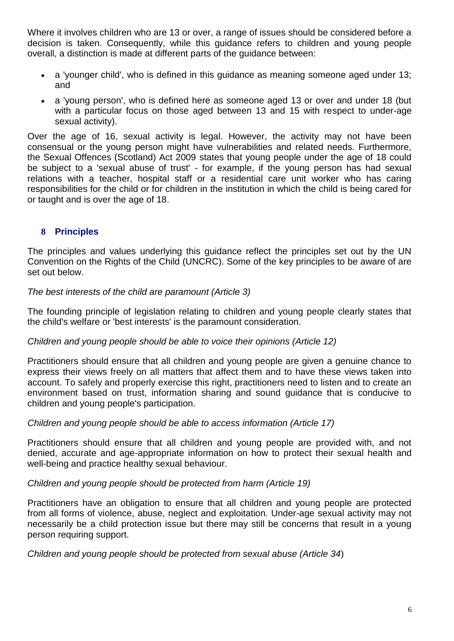Where it involves children who are 13 or over, a range of issues should be considered before a decision is taken. Consequently, while this guidance refers to children and young people overall, a distinction is made at different parts of the guidance between:

- a 'younger child', who is defined in this guidance as meaning someone aged under 13; and
- a 'young person', who is defined here as someone aged 13 or over and under 18 (but with a particular focus on those aged between 13 and 15 with respect to under-age sexual activity).

Over the age of 16, sexual activity is legal. However, the activity may not have been consensual or the young person might have vulnerabilities and related needs. Furthermore, the Sexual Offences (Scotland) Act 2009 states that young people under the age of 18 could be subject to a 'sexual abuse of trust' - for example, if the young person has had sexual relations with a teacher, hospital staff or a residential care unit worker who has caring responsibilities for the child or for children in the institution in which the child is being cared for or taught and is over the age of 18.

### **8 Principles**

The principles and values underlying this guidance reflect the principles set out by the UN Convention on the Rights of the Child (UNCRC). Some of the key principles to be aware of are set out below.

#### *The best interests of the child are paramount (Article 3)*

The founding principle of legislation relating to children and young people clearly states that the child's welfare or 'best interests' is the paramount consideration.

#### *Children and young people should be able to voice their opinions (Article 12)*

Practitioners should ensure that all children and young people are given a genuine chance to express their views freely on all matters that affect them and to have these views taken into account. To safely and properly exercise this right, practitioners need to listen and to create an environment based on trust, information sharing and sound guidance that is conducive to children and young people's participation.

#### *Children and young people should be able to access information (Article 17)*

Practitioners should ensure that all children and young people are provided with, and not denied, accurate and age-appropriate information on how to protect their sexual health and well-being and practice healthy sexual behaviour.

#### *Children and young people should be protected from harm (Article 19)*

Practitioners have an obligation to ensure that all children and young people are protected from all forms of violence, abuse, neglect and exploitation. Under-age sexual activity may not necessarily be a child protection issue but there may still be concerns that result in a young person requiring support.

*Children and young people should be protected from sexual abuse (Article 34*)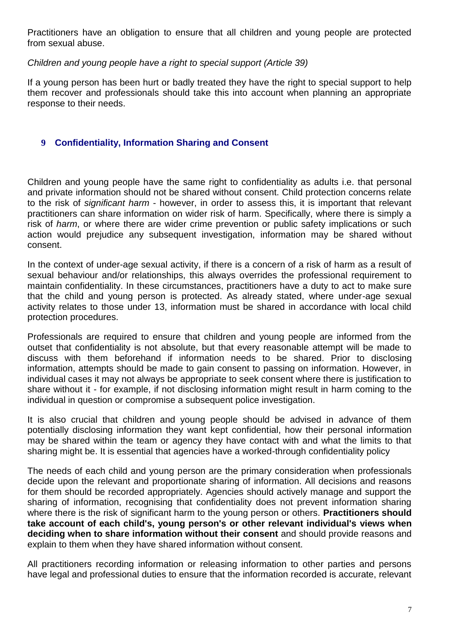Practitioners have an obligation to ensure that all children and young people are protected from sexual abuse.

*Children and young people have a right to special support (Article 39)*

If a young person has been hurt or badly treated they have the right to special support to help them recover and professionals should take this into account when planning an appropriate response to their needs.

#### **9 Confidentiality, Information Sharing and Consent**

Children and young people have the same right to confidentiality as adults i.e. that personal and private information should not be shared without consent. Child protection concerns relate to the risk of *significant harm* - however, in order to assess this, it is important that relevant practitioners can share information on wider risk of harm. Specifically, where there is simply a risk of *harm*, or where there are wider crime prevention or public safety implications or such action would prejudice any subsequent investigation, information may be shared without consent.

In the context of under-age sexual activity, if there is a concern of a risk of harm as a result of sexual behaviour and/or relationships, this always overrides the professional requirement to maintain confidentiality. In these circumstances, practitioners have a duty to act to make sure that the child and young person is protected. As already stated, where under-age sexual activity relates to those under 13, information must be shared in accordance with local child protection procedures.

Professionals are required to ensure that children and young people are informed from the outset that confidentiality is not absolute, but that every reasonable attempt will be made to discuss with them beforehand if information needs to be shared. Prior to disclosing information, attempts should be made to gain consent to passing on information. However, in individual cases it may not always be appropriate to seek consent where there is justification to share without it - for example, if not disclosing information might result in harm coming to the individual in question or compromise a subsequent police investigation.

It is also crucial that children and young people should be advised in advance of them potentially disclosing information they want kept confidential, how their personal information may be shared within the team or agency they have contact with and what the limits to that sharing might be. It is essential that agencies have a worked-through confidentiality policy

The needs of each child and young person are the primary consideration when professionals decide upon the relevant and proportionate sharing of information. All decisions and reasons for them should be recorded appropriately. Agencies should actively manage and support the sharing of information, recognising that confidentiality does not prevent information sharing where there is the risk of significant harm to the young person or others. **Practitioners should take account of each child's, young person's or other relevant individual's views when deciding when to share information without their consent** and should provide reasons and explain to them when they have shared information without consent.

All practitioners recording information or releasing information to other parties and persons have legal and professional duties to ensure that the information recorded is accurate, relevant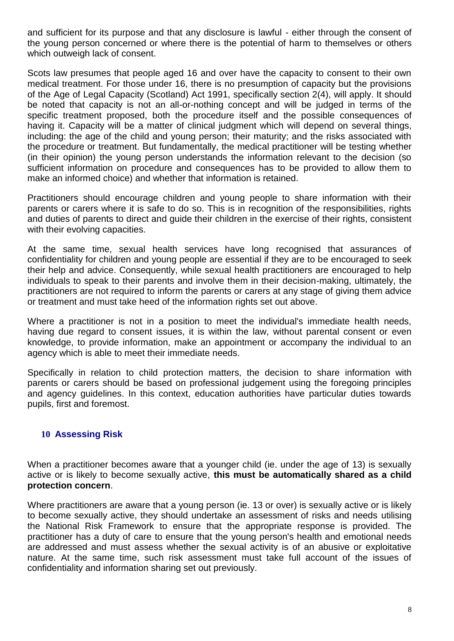and sufficient for its purpose and that any disclosure is lawful - either through the consent of the young person concerned or where there is the potential of harm to themselves or others which outweigh lack of consent.

Scots law presumes that people aged 16 and over have the capacity to consent to their own medical treatment. For those under 16, there is no presumption of capacity but the provisions of the Age of Legal Capacity (Scotland) Act 1991, specifically section 2(4), will apply. It should be noted that capacity is not an all-or-nothing concept and will be judged in terms of the specific treatment proposed, both the procedure itself and the possible consequences of having it. Capacity will be a matter of clinical judgment which will depend on several things, including: the age of the child and young person; their maturity; and the risks associated with the procedure or treatment. But fundamentally, the medical practitioner will be testing whether (in their opinion) the young person understands the information relevant to the decision (so sufficient information on procedure and consequences has to be provided to allow them to make an informed choice) and whether that information is retained.

Practitioners should encourage children and young people to share information with their parents or carers where it is safe to do so. This is in recognition of the responsibilities, rights and duties of parents to direct and guide their children in the exercise of their rights, consistent with their evolving capacities.

At the same time, sexual health services have long recognised that assurances of confidentiality for children and young people are essential if they are to be encouraged to seek their help and advice. Consequently, while sexual health practitioners are encouraged to help individuals to speak to their parents and involve them in their decision-making, ultimately, the practitioners are not required to inform the parents or carers at any stage of giving them advice or treatment and must take heed of the information rights set out above.

Where a practitioner is not in a position to meet the individual's immediate health needs, having due regard to consent issues, it is within the law, without parental consent or even knowledge, to provide information, make an appointment or accompany the individual to an agency which is able to meet their immediate needs.

Specifically in relation to child protection matters, the decision to share information with parents or carers should be based on professional judgement using the foregoing principles and agency guidelines. In this context, education authorities have particular duties towards pupils, first and foremost.

#### **10 Assessing Risk**

When a practitioner becomes aware that a younger child (ie. under the age of 13) is sexually active or is likely to become sexually active, **this must be automatically shared as a child protection concern**.

Where practitioners are aware that a young person (ie. 13 or over) is sexually active or is likely to become sexually active, they should undertake an assessment of risks and needs utilising the National Risk Framework to ensure that the appropriate response is provided. The practitioner has a duty of care to ensure that the young person's health and emotional needs are addressed and must assess whether the sexual activity is of an abusive or exploitative nature. At the same time, such risk assessment must take full account of the issues of confidentiality and information sharing set out previously.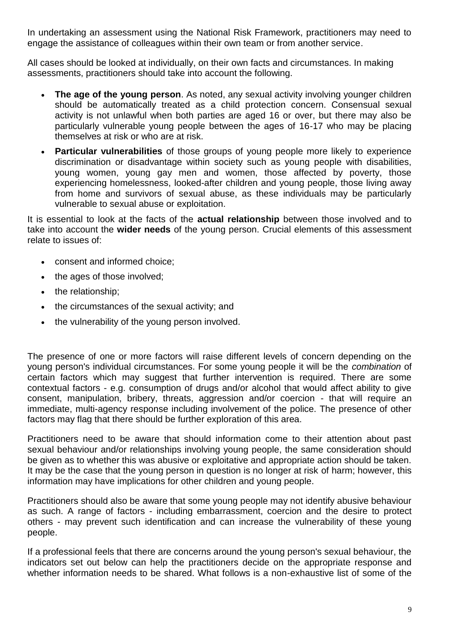In undertaking an assessment using the National Risk Framework, practitioners may need to engage the assistance of colleagues within their own team or from another service.

All cases should be looked at individually, on their own facts and circumstances. In making assessments, practitioners should take into account the following.

- **The age of the young person**. As noted, any sexual activity involving younger children should be automatically treated as a child protection concern. Consensual sexual activity is not unlawful when both parties are aged 16 or over, but there may also be particularly vulnerable young people between the ages of 16-17 who may be placing themselves at risk or who are at risk.
- **Particular vulnerabilities** of those groups of young people more likely to experience discrimination or disadvantage within society such as young people with disabilities, young women, young gay men and women, those affected by poverty, those experiencing homelessness, looked-after children and young people, those living away from home and survivors of sexual abuse, as these individuals may be particularly vulnerable to sexual abuse or exploitation.

It is essential to look at the facts of the **actual relationship** between those involved and to take into account the **wider needs** of the young person. Crucial elements of this assessment relate to issues of:

- consent and informed choice;
- the ages of those involved;
- the relationship:
- the circumstances of the sexual activity; and
- the vulnerability of the young person involved.

The presence of one or more factors will raise different levels of concern depending on the young person's individual circumstances. For some young people it will be the *combination* of certain factors which may suggest that further intervention is required. There are some contextual factors - e.g. consumption of drugs and/or alcohol that would affect ability to give consent, manipulation, bribery, threats, aggression and/or coercion - that will require an immediate, multi-agency response including involvement of the police. The presence of other factors may flag that there should be further exploration of this area.

Practitioners need to be aware that should information come to their attention about past sexual behaviour and/or relationships involving young people, the same consideration should be given as to whether this was abusive or exploitative and appropriate action should be taken. It may be the case that the young person in question is no longer at risk of harm; however, this information may have implications for other children and young people.

Practitioners should also be aware that some young people may not identify abusive behaviour as such. A range of factors - including embarrassment, coercion and the desire to protect others - may prevent such identification and can increase the vulnerability of these young people.

If a professional feels that there are concerns around the young person's sexual behaviour, the indicators set out below can help the practitioners decide on the appropriate response and whether information needs to be shared. What follows is a non-exhaustive list of some of the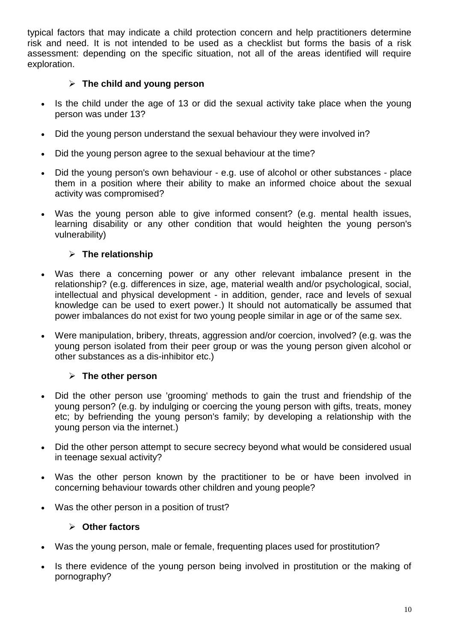typical factors that may indicate a child protection concern and help practitioners determine risk and need. It is not intended to be used as a checklist but forms the basis of a risk assessment: depending on the specific situation, not all of the areas identified will require exploration.

#### **The child and young person**

- Is the child under the age of 13 or did the sexual activity take place when the young person was under 13?
- Did the young person understand the sexual behaviour they were involved in?
- Did the young person agree to the sexual behaviour at the time?
- Did the young person's own behaviour e.g. use of alcohol or other substances place them in a position where their ability to make an informed choice about the sexual activity was compromised?
- Was the young person able to give informed consent? (e.g. mental health issues, learning disability or any other condition that would heighten the young person's vulnerability)

### **The relationship**

- Was there a concerning power or any other relevant imbalance present in the relationship? (e.g. differences in size, age, material wealth and/or psychological, social, intellectual and physical development - in addition, gender, race and levels of sexual knowledge can be used to exert power.) It should not automatically be assumed that power imbalances do not exist for two young people similar in age or of the same sex.
- Were manipulation, bribery, threats, aggression and/or coercion, involved? (e.g. was the young person isolated from their peer group or was the young person given alcohol or other substances as a dis-inhibitor etc.)

### **The other person**

- Did the other person use 'grooming' methods to gain the trust and friendship of the young person? (e.g. by indulging or coercing the young person with gifts, treats, money etc; by befriending the young person's family; by developing a relationship with the young person via the internet.)
- Did the other person attempt to secure secrecy beyond what would be considered usual in teenage sexual activity?
- Was the other person known by the practitioner to be or have been involved in concerning behaviour towards other children and young people?
- Was the other person in a position of trust?

#### **Other factors**

- Was the young person, male or female, frequenting places used for prostitution?
- Is there evidence of the young person being involved in prostitution or the making of pornography?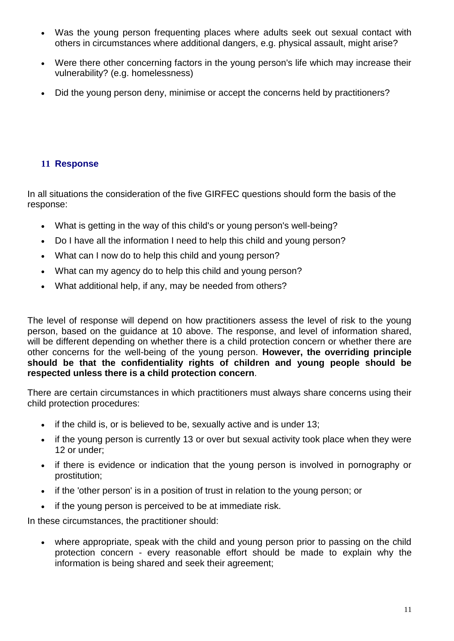- Was the young person frequenting places where adults seek out sexual contact with others in circumstances where additional dangers, e.g. physical assault, might arise?
- Were there other concerning factors in the young person's life which may increase their vulnerability? (e.g. homelessness)
- Did the young person deny, minimise or accept the concerns held by practitioners?

### **11 Response**

In all situations the consideration of the five GIRFEC questions should form the basis of the response:

- What is getting in the way of this child's or young person's well-being?
- Do I have all the information I need to help this child and young person?
- What can I now do to help this child and young person?
- What can my agency do to help this child and young person?
- What additional help, if any, may be needed from others?

The level of response will depend on how practitioners assess the level of risk to the young person, based on the guidance at 10 above. The response, and level of information shared, will be different depending on whether there is a child protection concern or whether there are other concerns for the well-being of the young person. **However, the overriding principle should be that the confidentiality rights of children and young people should be respected unless there is a child protection concern**.

There are certain circumstances in which practitioners must always share concerns using their child protection procedures:

- $\bullet$  if the child is, or is believed to be, sexually active and is under 13;
- if the young person is currently 13 or over but sexual activity took place when they were 12 or under;
- if there is evidence or indication that the young person is involved in pornography or prostitution;
- if the 'other person' is in a position of trust in relation to the young person; or
- if the young person is perceived to be at immediate risk.

In these circumstances, the practitioner should:

 where appropriate, speak with the child and young person prior to passing on the child protection concern - every reasonable effort should be made to explain why the information is being shared and seek their agreement;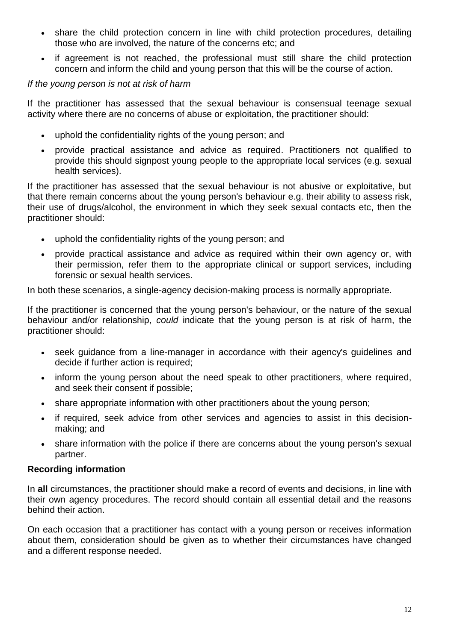- share the child protection concern in line with child protection procedures, detailing those who are involved, the nature of the concerns etc; and
- if agreement is not reached, the professional must still share the child protection concern and inform the child and young person that this will be the course of action.

#### *If the young person is not at risk of harm*

If the practitioner has assessed that the sexual behaviour is consensual teenage sexual activity where there are no concerns of abuse or exploitation, the practitioner should:

- uphold the confidentiality rights of the young person; and
- provide practical assistance and advice as required. Practitioners not qualified to provide this should signpost young people to the appropriate local services (e.g. sexual health services).

If the practitioner has assessed that the sexual behaviour is not abusive or exploitative, but that there remain concerns about the young person's behaviour e.g. their ability to assess risk, their use of drugs/alcohol, the environment in which they seek sexual contacts etc, then the practitioner should:

- uphold the confidentiality rights of the young person; and
- provide practical assistance and advice as required within their own agency or, with their permission, refer them to the appropriate clinical or support services, including forensic or sexual health services.

In both these scenarios, a single-agency decision-making process is normally appropriate.

If the practitioner is concerned that the young person's behaviour, or the nature of the sexual behaviour and/or relationship, *could* indicate that the young person is at risk of harm, the practitioner should:

- seek guidance from a line-manager in accordance with their agency's guidelines and decide if further action is required;
- inform the young person about the need speak to other practitioners, where required, and seek their consent if possible;
- share appropriate information with other practitioners about the young person;
- if required, seek advice from other services and agencies to assist in this decisionmaking; and
- share information with the police if there are concerns about the young person's sexual partner.

#### **Recording information**

In **all** circumstances, the practitioner should make a record of events and decisions, in line with their own agency procedures. The record should contain all essential detail and the reasons behind their action.

On each occasion that a practitioner has contact with a young person or receives information about them, consideration should be given as to whether their circumstances have changed and a different response needed.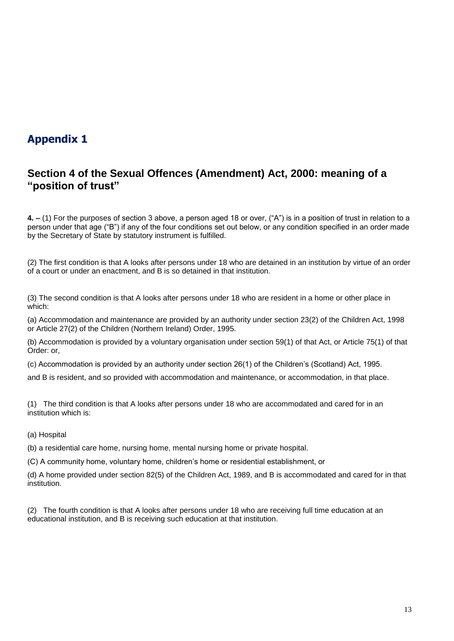## **Appendix 1**

## **Section 4 of the Sexual Offences (Amendment) Act, 2000: meaning of a "position of trust"**

**4. –** (1) For the purposes of section 3 above, a person aged 18 or over, ("A") is in a position of trust in relation to a person under that age ("B") if any of the four conditions set out below, or any condition specified in an order made by the Secretary of State by statutory instrument is fulfilled.

(2) The first condition is that A looks after persons under 18 who are detained in an institution by virtue of an order of a court or under an enactment, and B is so detained in that institution.

(3) The second condition is that A looks after persons under 18 who are resident in a home or other place in which:

(a) Accommodation and maintenance are provided by an authority under section 23(2) of the Children Act, 1998 or Article 27(2) of the Children (Northern Ireland) Order, 1995.

(b) Accommodation is provided by a voluntary organisation under section 59(1) of that Act, or Article 75(1) of that Order: or,

(c) Accommodation is provided by an authority under section 26(1) of the Children's (Scotland) Act, 1995.

and B is resident, and so provided with accommodation and maintenance, or accommodation, in that place.

(1) The third condition is that A looks after persons under 18 who are accommodated and cared for in an institution which is:

(a) Hospital

(b) a residential care home, nursing home, mental nursing home or private hospital.

(C) A community home, voluntary home, children's home or residential establishment, or

(d) A home provided under section 82(5) of the Children Act, 1989, and B is accommodated and cared for in that institution.

(2) The fourth condition is that A looks after persons under 18 who are receiving full time education at an educational institution, and B is receiving such education at that institution.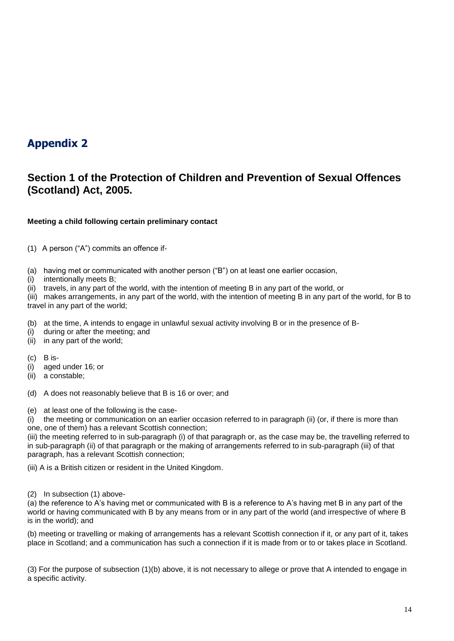## **Appendix 2**

## **Section 1 of the Protection of Children and Prevention of Sexual Offences (Scotland) Act, 2005.**

#### **Meeting a child following certain preliminary contact**

(1) A person ("A") commits an offence if-

(a) having met or communicated with another person ("B") on at least one earlier occasion,

(i) intentionally meets B;

(ii) travels, in any part of the world, with the intention of meeting B in any part of the world, or

(iii) makes arrangements, in any part of the world, with the intention of meeting B in any part of the world, for B to travel in any part of the world;

(b) at the time, A intends to engage in unlawful sexual activity involving B or in the presence of B-

(i) during or after the meeting; and

(ii) in any part of the world;

 $(c)$  B is-

(i) aged under 16; or

(ii) a constable;

(d) A does not reasonably believe that B is 16 or over; and

(e) at least one of the following is the case-

(i) the meeting or communication on an earlier occasion referred to in paragraph (ii) (or, if there is more than one, one of them) has a relevant Scottish connection;

(iii) the meeting referred to in sub-paragraph (i) of that paragraph or, as the case may be, the travelling referred to in sub-paragraph (ii) of that paragraph or the making of arrangements referred to in sub-paragraph (iii) of that paragraph, has a relevant Scottish connection;

(iii) A is a British citizen or resident in the United Kingdom.

#### (2) In subsection (1) above-

(a) the reference to A's having met or communicated with B is a reference to A's having met B in any part of the world or having communicated with B by any means from or in any part of the world (and irrespective of where B is in the world); and

(b) meeting or travelling or making of arrangements has a relevant Scottish connection if it, or any part of it, takes place in Scotland; and a communication has such a connection if it is made from or to or takes place in Scotland.

(3) For the purpose of subsection (1)(b) above, it is not necessary to allege or prove that A intended to engage in a specific activity.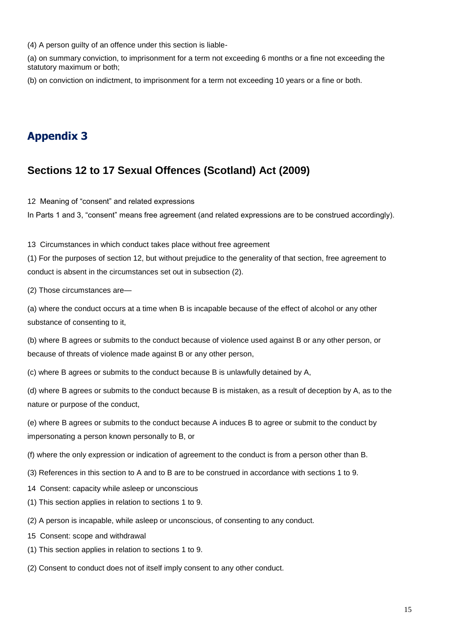(4) A person guilty of an offence under this section is liable-

(a) on summary conviction, to imprisonment for a term not exceeding 6 months or a fine not exceeding the statutory maximum or both;

(b) on conviction on indictment, to imprisonment for a term not exceeding 10 years or a fine or both.

## **Appendix 3**

### **Sections 12 to 17 Sexual Offences (Scotland) Act (2009)**

12 Meaning of "consent" and related expressions

In Parts 1 and 3, "consent" means free agreement (and related expressions are to be construed accordingly).

13 Circumstances in which conduct takes place without free agreement

(1) For the purposes of section 12, but without prejudice to the generality of that section, free agreement to conduct is absent in the circumstances set out in subsection (2).

(2) Those circumstances are—

(a) where the conduct occurs at a time when B is incapable because of the effect of alcohol or any other substance of consenting to it,

(b) where B agrees or submits to the conduct because of violence used against B or any other person, or because of threats of violence made against B or any other person,

(c) where B agrees or submits to the conduct because B is unlawfully detained by A,

(d) where B agrees or submits to the conduct because B is mistaken, as a result of deception by A, as to the nature or purpose of the conduct,

(e) where B agrees or submits to the conduct because A induces B to agree or submit to the conduct by impersonating a person known personally to B, or

(f) where the only expression or indication of agreement to the conduct is from a person other than B.

- (3) References in this section to A and to B are to be construed in accordance with sections 1 to 9.
- 14 Consent: capacity while asleep or unconscious
- (1) This section applies in relation to sections 1 to 9.
- (2) A person is incapable, while asleep or unconscious, of consenting to any conduct.
- 15 Consent: scope and withdrawal
- (1) This section applies in relation to sections 1 to 9.
- (2) Consent to conduct does not of itself imply consent to any other conduct.